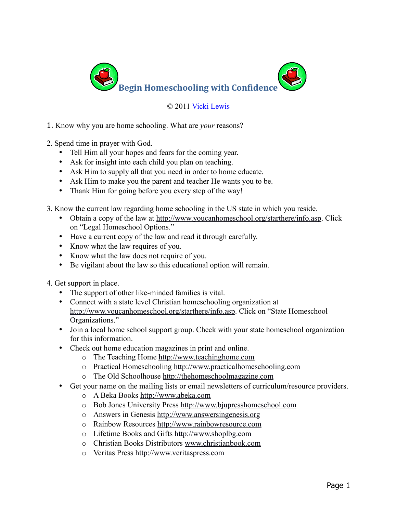

## © 2011 [Vicki Lewis](http://www.spiritandtruth.org/id/vl.htm)

1. Know why you are home schooling. What are *your* reasons?

2. Spend time in prayer with God.

- Tell Him all your hopes and fears for the coming year.
- Ask for insight into each child you plan on teaching.
- Ask Him to supply all that you need in order to home educate.
- Ask Him to make you the parent and teacher He wants you to be.
- Thank Him for going before you every step of the way!

3. Know the current law regarding home schooling in the US state in which you reside.

- Obtain a copy of the law at [http://www.youcanhomeschool.org/starthere/info.asp.](http://www.youcanhomeschool.org/starthere/info.asp) Click on "Legal Homeschool Options."
- Have a current copy of the law and read it through carefully.
- Know what the law requires of you.
- Know what the law does not require of you.
- Be vigilant about the law so this educational option will remain.

4. Get support in place.

- The support of other like-minded families is vital.
- Connect with a state level Christian homeschooling organization at [http://www.youcanhomeschool.org/starthere/info.asp.](http://www.youcanhomeschool.org/starthere/info.asp) Click on "State Homeschool Organizations."
- Join a local home school support group. Check with your state homeschool organization for this information.
- Check out home education magazines in print and online.
	- o The Teaching Home [http://www.teachinghome.com](http://www.teachinghome.com/)
	- o Practical Homeschooling [http://www.practicalhomeschooling.com](http://www.practicalhomeschooling.com/)
	- o The Old Schoolhouse [http://thehomeschoolmagazine.com](http://thehomeschoolmagazine.com/)
- Get your name on the mailing lists or email newsletters of curriculum/resource providers.
	- o A Beka Books [http://www.abeka.com](http://www.abeka.com/)
	- o Bob Jones University Press [http://www.bjupresshomeschool.com](http://www.bjupresshomeschool.com/)
	- o Answers in Genesis [http://www.answersingenesis.org](http://www.answersingenesis.org/)
	- o Rainbow Resources [http://www.rainbowresource.com](http://www.rainbowresource.com/)
	- o Lifetime Books and Gifts [http://www.shoplbg.com](http://www.shoplbg.com/)
	- o Christian Books Distributors [www.christianbook.com](http://www.christianbook.com/)
	- o Veritas Press [http://www.veritaspress.com](http://www.veritaspress.com/)